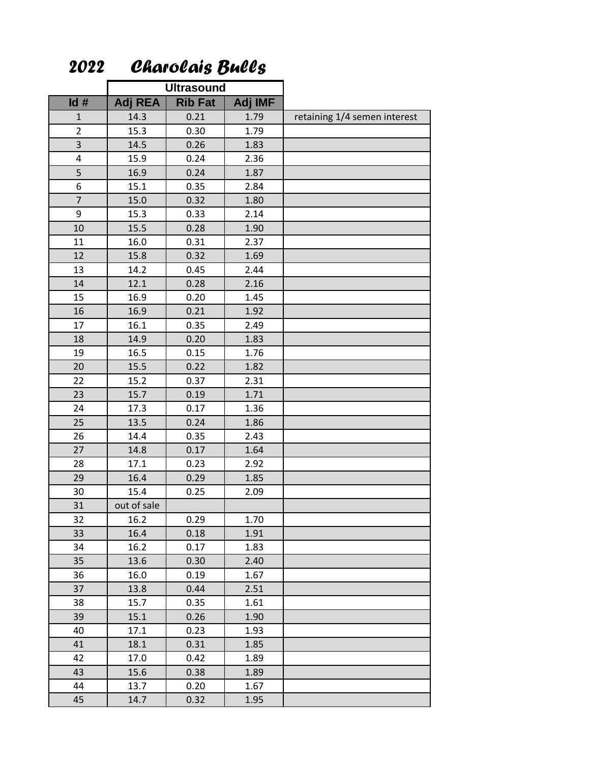|                | <b>Ultrasound</b> |                |         |                              |
|----------------|-------------------|----------------|---------|------------------------------|
| Id#            | <b>Adj REA</b>    | <b>Rib Fat</b> | Adj IMF |                              |
| $\mathbf{1}$   | 14.3              | 0.21           | 1.79    | retaining 1/4 semen interest |
| $\overline{2}$ | 15.3              | 0.30           | 1.79    |                              |
| 3              | 14.5              | 0.26           | 1.83    |                              |
| 4              | 15.9              | 0.24           | 2.36    |                              |
| 5              | 16.9              | 0.24           | 1.87    |                              |
| 6              | 15.1              | 0.35           | 2.84    |                              |
| $\overline{7}$ | 15.0              | 0.32           | 1.80    |                              |
| 9              | 15.3              | 0.33           | 2.14    |                              |
| 10             | 15.5              | 0.28           | 1.90    |                              |
| 11             | 16.0              | 0.31           | 2.37    |                              |
| 12             | 15.8              | 0.32           | 1.69    |                              |
| 13             | 14.2              | 0.45           | 2.44    |                              |
| 14             | 12.1              | 0.28           | 2.16    |                              |
| 15             | 16.9              | 0.20           | 1.45    |                              |
| 16             | 16.9              | 0.21           | 1.92    |                              |
| 17             | 16.1              | 0.35           | 2.49    |                              |
| 18             | 14.9              | 0.20           | 1.83    |                              |
| 19             | 16.5              | 0.15           | 1.76    |                              |
| 20             | 15.5              | 0.22           | 1.82    |                              |
| 22             | 15.2              | 0.37           | 2.31    |                              |
| 23             | 15.7              | 0.19           | 1.71    |                              |
| 24             | 17.3              | 0.17           | 1.36    |                              |
| 25             | 13.5              | 0.24           | 1.86    |                              |
| 26             | 14.4              | 0.35           | 2.43    |                              |
| 27             | 14.8              | 0.17           | 1.64    |                              |
| 28             | 17.1              | 0.23           | 2.92    |                              |
| 29             | 16.4              | 0.29           | 1.85    |                              |
| 30             | 15.4              | 0.25           | 2.09    |                              |
| 31             | out of sale       |                |         |                              |
| 32             | 16.2              | 0.29           | 1.70    |                              |
| 33             | 16.4              | 0.18           | 1.91    |                              |
| 34             | 16.2              | 0.17           | 1.83    |                              |
| 35             | 13.6              | 0.30           | 2.40    |                              |
| 36             | 16.0              | 0.19           | 1.67    |                              |
| 37             | 13.8              | 0.44           | 2.51    |                              |
| 38             | 15.7              | 0.35           | 1.61    |                              |
| 39             | 15.1              | 0.26           | 1.90    |                              |
| 40             | 17.1              | 0.23           | 1.93    |                              |
| 41             | 18.1              | 0.31           | 1.85    |                              |
| 42             | 17.0              | 0.42           | 1.89    |                              |
| 43             | 15.6              | 0.38           | 1.89    |                              |
| 44             | 13.7              | 0.20           | 1.67    |                              |
| 45             | 14.7              | 0.32           | 1.95    |                              |

 *Charolais Bulls*